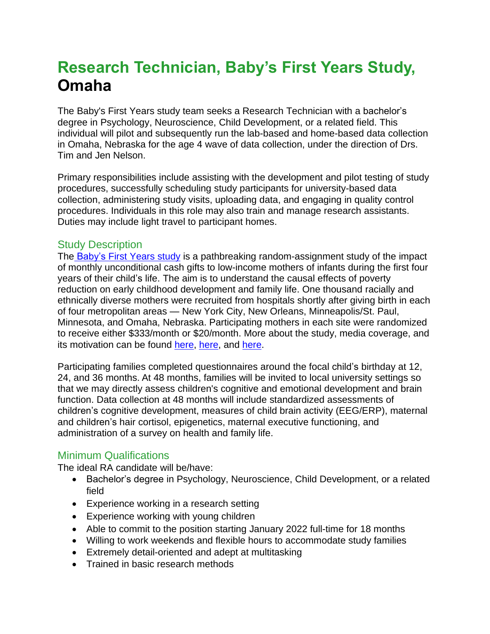## **Research Technician, Baby's First Years Study, Omaha**

The Baby's First Years study team seeks a Research Technician with a bachelor's degree in Psychology, Neuroscience, Child Development, or a related field. This individual will pilot and subsequently run the lab-based and home-based data collection in Omaha, Nebraska for the age 4 wave of data collection, under the direction of Drs. Tim and Jen Nelson.

Primary responsibilities include assisting with the development and pilot testing of study procedures, successfully scheduling study participants for university-based data collection, administering study visits, uploading data, and engaging in quality control procedures. Individuals in this role may also train and manage research assistants. Duties may include light travel to participant homes.

## Study Description

The [Baby's](https://www.babysfirstyears.com/) First Years study is a pathbreaking random-assignment study of the impact of monthly unconditional cash gifts to low-income mothers of infants during the first four years of their child's life. The aim is to understand the causal effects of poverty reduction on early childhood development and family life. One thousand racially and ethnically diverse mothers were recruited from hospitals shortly after giving birth in each of four metropolitan areas — New York City, New Orleans, Minneapolis/St. Paul, Minnesota, and Omaha, Nebraska. Participating mothers in each site were randomized to receive either \$333/month or \$20/month. More about the study, media coverage, and its motivation can be found [here,](https://www.nytimes.com/2021/04/07/upshot/stimulus-children-poverty-brain.html) here, and [here.](https://www.economist.com/united-states/2018/05/03/does-growing-up-poor-harm-brain-development)

Participating families completed questionnaires around the focal child's birthday at 12, 24, and 36 months. At 48 months, families will be invited to local university settings so that we may directly assess children's cognitive and emotional development and brain function. Data collection at 48 months will include standardized assessments of children's cognitive development, measures of child brain activity (EEG/ERP), maternal and children's hair cortisol, epigenetics, maternal executive functioning, and administration of a survey on health and family life.

## Minimum Qualifications

The ideal RA candidate will be/have:

- Bachelor's degree in Psychology, Neuroscience, Child Development, or a related field
- Experience working in a research setting
- Experience working with young children
- Able to commit to the position starting January 2022 full-time for 18 months
- Willing to work weekends and flexible hours to accommodate study families
- Extremely detail-oriented and adept at multitasking
- Trained in basic research methods